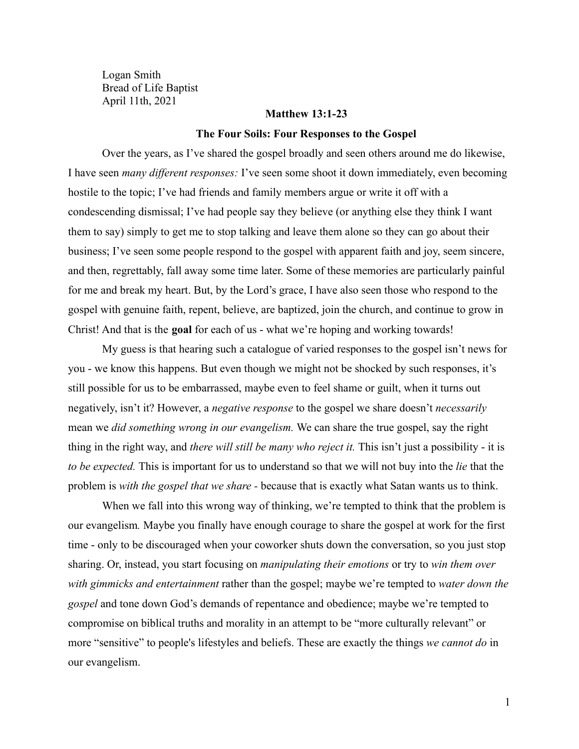Logan Smith Bread of Life Baptist April 11th, 2021

### **Matthew 13:1-23**

#### **The Four Soils: Four Responses to the Gospel**

Over the years, as I've shared the gospel broadly and seen others around me do likewise, I have seen *many different responses:* I've seen some shoot it down immediately, even becoming hostile to the topic; I've had friends and family members argue or write it off with a condescending dismissal; I've had people say they believe (or anything else they think I want them to say) simply to get me to stop talking and leave them alone so they can go about their business; I've seen some people respond to the gospel with apparent faith and joy, seem sincere, and then, regrettably, fall away some time later. Some of these memories are particularly painful for me and break my heart. But, by the Lord's grace, I have also seen those who respond to the gospel with genuine faith, repent, believe, are baptized, join the church, and continue to grow in Christ! And that is the **goal** for each of us - what we're hoping and working towards!

My guess is that hearing such a catalogue of varied responses to the gospel isn't news for you - we know this happens. But even though we might not be shocked by such responses, it's still possible for us to be embarrassed, maybe even to feel shame or guilt, when it turns out negatively, isn't it? However, a *negative response* to the gospel we share doesn't *necessarily* mean we *did something wrong in our evangelism.* We can share the true gospel, say the right thing in the right way, and *there will still be many who reject it.* This isn't just a possibility - it is *to be expected.* This is important for us to understand so that we will not buy into the *lie* that the problem is *with the gospel that we share -* because that is exactly what Satan wants us to think.

When we fall into this wrong way of thinking, we're tempted to think that the problem is our evangelism*.* Maybe you finally have enough courage to share the gospel at work for the first time - only to be discouraged when your coworker shuts down the conversation, so you just stop sharing. Or, instead, you start focusing on *manipulating their emotions* or try to *win them over with gimmicks and entertainment* rather than the gospel; maybe we're tempted to *water down the gospel* and tone down God's demands of repentance and obedience; maybe we're tempted to compromise on biblical truths and morality in an attempt to be "more culturally relevant" or more "sensitive" to people's lifestyles and beliefs. These are exactly the things *we cannot do* in our evangelism.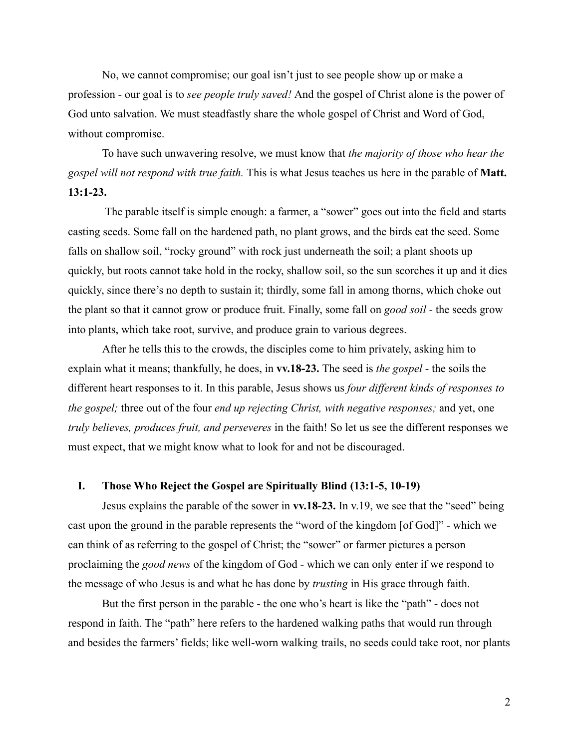No, we cannot compromise; our goal isn't just to see people show up or make a profession - our goal is to *see people truly saved!* And the gospel of Christ alone is the power of God unto salvation. We must steadfastly share the whole gospel of Christ and Word of God, without compromise.

To have such unwavering resolve, we must know that *the majority of those who hear the gospel will not respond with true faith.* This is what Jesus teaches us here in the parable of **Matt. 13:1-23.**

The parable itself is simple enough: a farmer, a "sower" goes out into the field and starts casting seeds. Some fall on the hardened path, no plant grows, and the birds eat the seed. Some falls on shallow soil, "rocky ground" with rock just underneath the soil; a plant shoots up quickly, but roots cannot take hold in the rocky, shallow soil, so the sun scorches it up and it dies quickly, since there's no depth to sustain it; thirdly, some fall in among thorns, which choke out the plant so that it cannot grow or produce fruit. Finally, some fall on *good soil -* the seeds grow into plants, which take root, survive, and produce grain to various degrees.

After he tells this to the crowds, the disciples come to him privately, asking him to explain what it means; thankfully, he does, in **vv.18-23.** The seed is *the gospel* - the soils the different heart responses to it. In this parable, Jesus shows us *four different kinds of responses to the gospel;* three out of the four *end up rejecting Christ, with negative responses;* and yet, one *truly believes, produces fruit, and perseveres* in the faith! So let us see the different responses we must expect, that we might know what to look for and not be discouraged.

# **I. Those Who Reject the Gospel are Spiritually Blind (13:1-5, 10-19)**

Jesus explains the parable of the sower in **vv.18-23.** In v.19, we see that the "seed" being cast upon the ground in the parable represents the "word of the kingdom [of God]" - which we can think of as referring to the gospel of Christ; the "sower" or farmer pictures a person proclaiming the *good news* of the kingdom of God - which we can only enter if we respond to the message of who Jesus is and what he has done by *trusting* in His grace through faith.

But the first person in the parable - the one who's heart is like the "path" - does not respond in faith. The "path" here refers to the hardened walking paths that would run through and besides the farmers' fields; like well-worn walking trails, no seeds could take root, nor plants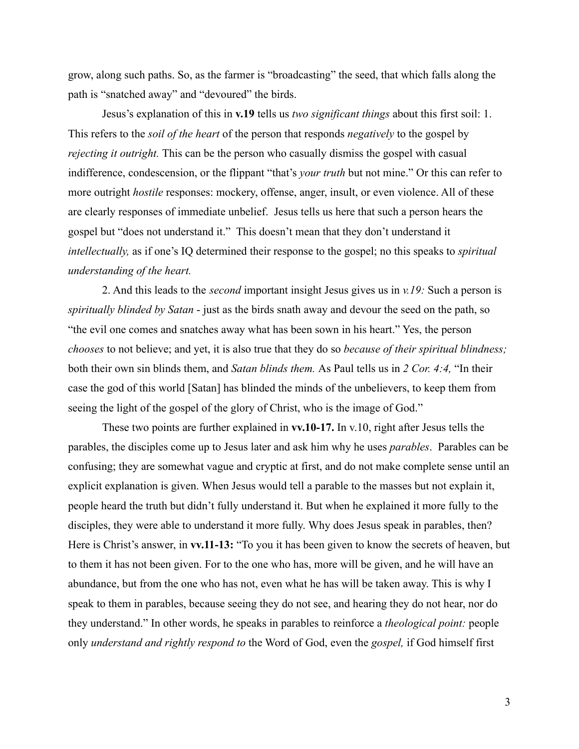grow, along such paths. So, as the farmer is "broadcasting" the seed, that which falls along the path is "snatched away" and "devoured" the birds.

Jesus's explanation of this in **v.19** tells us *two significant things* about this first soil: 1. This refers to the *soil of the heart* of the person that responds *negatively* to the gospel by *rejecting it outright.* This can be the person who casually dismiss the gospel with casual indifference, condescension, or the flippant "that's *your truth* but not mine." Or this can refer to more outright *hostile* responses: mockery, offense, anger, insult, or even violence. All of these are clearly responses of immediate unbelief. Jesus tells us here that such a person hears the gospel but "does not understand it." This doesn't mean that they don't understand it *intellectually,* as if one's IQ determined their response to the gospel; no this speaks to *spiritual understanding of the heart.*

2. And this leads to the *second* important insight Jesus gives us in *v.19:* Such a person is *spiritually blinded by Satan* - just as the birds snath away and devour the seed on the path, so "the evil one comes and snatches away what has been sown in his heart." Yes, the person *chooses* to not believe; and yet, it is also true that they do so *because of their spiritual blindness;* both their own sin blinds them, and *Satan blinds them.* As Paul tells us in *2 Cor. 4:4,* "In their case the god of this world [Satan] has blinded the minds of the unbelievers, to keep them from seeing the light of the gospel of the glory of Christ, who is the image of God."

These two points are further explained in **vv.10-17.** In v.10, right after Jesus tells the parables, the disciples come up to Jesus later and ask him why he uses *parables*. Parables can be confusing; they are somewhat vague and cryptic at first, and do not make complete sense until an explicit explanation is given. When Jesus would tell a parable to the masses but not explain it, people heard the truth but didn't fully understand it. But when he explained it more fully to the disciples, they were able to understand it more fully. Why does Jesus speak in parables, then? Here is Christ's answer, in **vv.11-13:** "To you it has been given to know the secrets of heaven, but to them it has not been given. For to the one who has, more will be given, and he will have an abundance, but from the one who has not, even what he has will be taken away. This is why I speak to them in parables, because seeing they do not see, and hearing they do not hear, nor do they understand." In other words, he speaks in parables to reinforce a *theological point:* people only *understand and rightly respond to* the Word of God, even the *gospel,* if God himself first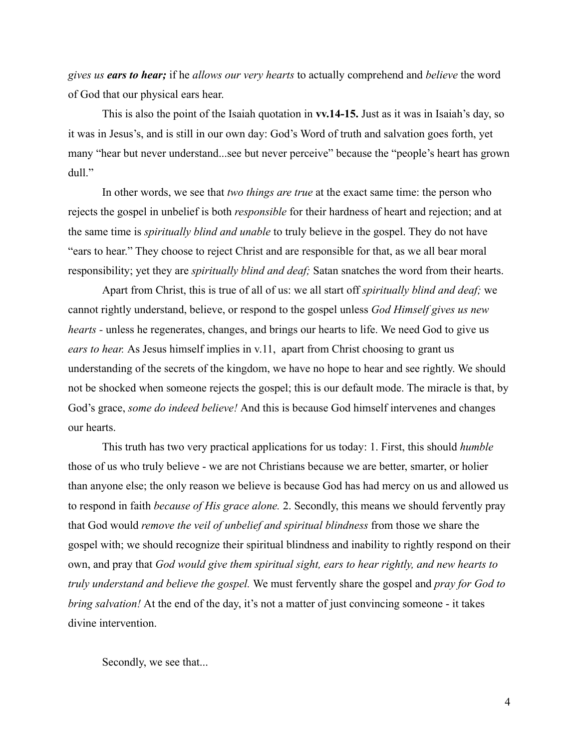*gives us ears to hear;* if he *allows our very hearts* to actually comprehend and *believe* the word of God that our physical ears hear.

This is also the point of the Isaiah quotation in **vv.14-15.** Just as it was in Isaiah's day, so it was in Jesus's, and is still in our own day: God's Word of truth and salvation goes forth, yet many "hear but never understand...see but never perceive" because the "people's heart has grown dull."

In other words, we see that *two things are true* at the exact same time: the person who rejects the gospel in unbelief is both *responsible* for their hardness of heart and rejection; and at the same time is *spiritually blind and unable* to truly believe in the gospel. They do not have "ears to hear." They choose to reject Christ and are responsible for that, as we all bear moral responsibility; yet they are *spiritually blind and deaf;* Satan snatches the word from their hearts.

Apart from Christ, this is true of all of us: we all start off *spiritually blind and deaf;* we cannot rightly understand, believe, or respond to the gospel unless *God Himself gives us new hearts -* unless he regenerates, changes, and brings our hearts to life. We need God to give us *ears to hear.* As Jesus himself implies in v.11, apart from Christ choosing to grant us understanding of the secrets of the kingdom, we have no hope to hear and see rightly. We should not be shocked when someone rejects the gospel; this is our default mode. The miracle is that, by God's grace, *some do indeed believe!* And this is because God himself intervenes and changes our hearts.

This truth has two very practical applications for us today: 1. First, this should *humble* those of us who truly believe - we are not Christians because we are better, smarter, or holier than anyone else; the only reason we believe is because God has had mercy on us and allowed us to respond in faith *because of His grace alone.* 2. Secondly, this means we should fervently pray that God would *remove the veil of unbelief and spiritual blindness* from those we share the gospel with; we should recognize their spiritual blindness and inability to rightly respond on their own, and pray that *God would give them spiritual sight, ears to hear rightly, and new hearts to truly understand and believe the gospel.* We must fervently share the gospel and *pray for God to bring salvation!* At the end of the day, it's not a matter of just convincing someone - it takes divine intervention.

Secondly, we see that...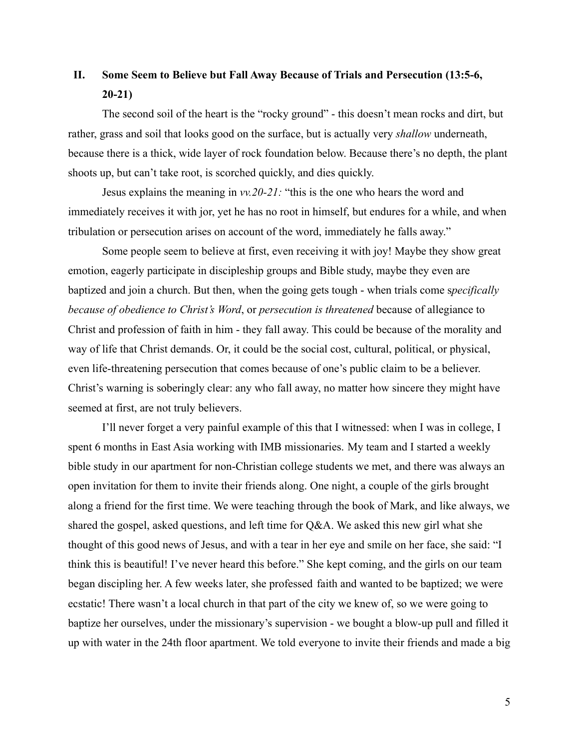# **II. Some Seem to Believe but Fall Away Because of Trials and Persecution (13:5-6, 20-21)**

The second soil of the heart is the "rocky ground" - this doesn't mean rocks and dirt, but rather, grass and soil that looks good on the surface, but is actually very *shallow* underneath, because there is a thick, wide layer of rock foundation below. Because there's no depth, the plant shoots up, but can't take root, is scorched quickly, and dies quickly.

Jesus explains the meaning in *vv.20-21:* "this is the one who hears the word and immediately receives it with jor, yet he has no root in himself, but endures for a while, and when tribulation or persecution arises on account of the word, immediately he falls away."

Some people seem to believe at first, even receiving it with joy! Maybe they show great emotion, eagerly participate in discipleship groups and Bible study, maybe they even are baptized and join a church. But then, when the going gets tough - when trials come s*pecifically because of obedience to Christ's Word*, or *persecution is threatened* because of allegiance to Christ and profession of faith in him - they fall away. This could be because of the morality and way of life that Christ demands. Or, it could be the social cost, cultural, political, or physical, even life-threatening persecution that comes because of one's public claim to be a believer. Christ's warning is soberingly clear: any who fall away, no matter how sincere they might have seemed at first, are not truly believers.

I'll never forget a very painful example of this that I witnessed: when I was in college, I spent 6 months in East Asia working with IMB missionaries. My team and I started a weekly bible study in our apartment for non-Christian college students we met, and there was always an open invitation for them to invite their friends along. One night, a couple of the girls brought along a friend for the first time. We were teaching through the book of Mark, and like always, we shared the gospel, asked questions, and left time for Q&A. We asked this new girl what she thought of this good news of Jesus, and with a tear in her eye and smile on her face, she said: "I think this is beautiful! I've never heard this before." She kept coming, and the girls on our team began discipling her. A few weeks later, she professed faith and wanted to be baptized; we were ecstatic! There wasn't a local church in that part of the city we knew of, so we were going to baptize her ourselves, under the missionary's supervision - we bought a blow-up pull and filled it up with water in the 24th floor apartment. We told everyone to invite their friends and made a big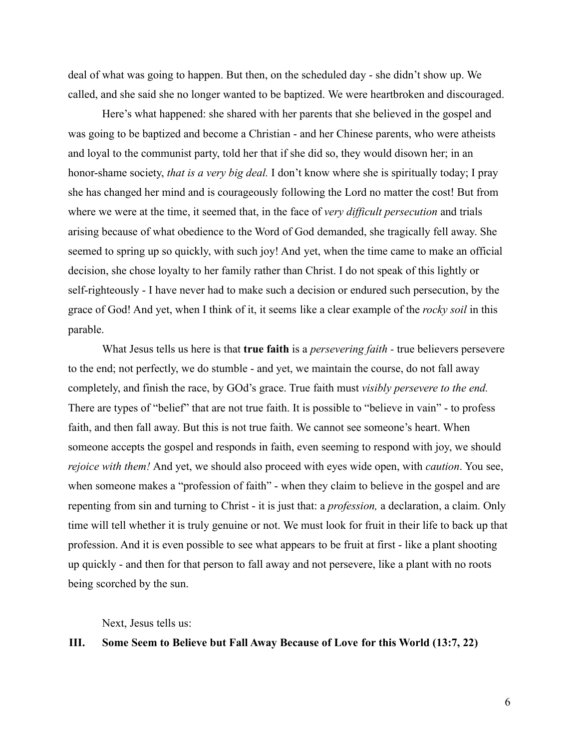deal of what was going to happen. But then, on the scheduled day - she didn't show up. We called, and she said she no longer wanted to be baptized. We were heartbroken and discouraged.

Here's what happened: she shared with her parents that she believed in the gospel and was going to be baptized and become a Christian - and her Chinese parents, who were atheists and loyal to the communist party, told her that if she did so, they would disown her; in an honor-shame society, *that is a very big deal.* I don't know where she is spiritually today; I pray she has changed her mind and is courageously following the Lord no matter the cost! But from where we were at the time, it seemed that, in the face of *very difficult persecution* and trials arising because of what obedience to the Word of God demanded, she tragically fell away. She seemed to spring up so quickly, with such joy! And yet, when the time came to make an official decision, she chose loyalty to her family rather than Christ. I do not speak of this lightly or self-righteously - I have never had to make such a decision or endured such persecution, by the grace of God! And yet, when I think of it, it seems like a clear example of the *rocky soil* in this parable.

What Jesus tells us here is that **true faith** is a *persevering faith -* true believers persevere to the end; not perfectly, we do stumble - and yet, we maintain the course, do not fall away completely, and finish the race, by GOd's grace. True faith must *visibly persevere to the end.* There are types of "belief" that are not true faith. It is possible to "believe in vain" - to profess faith, and then fall away. But this is not true faith. We cannot see someone's heart. When someone accepts the gospel and responds in faith, even seeming to respond with joy, we should *rejoice with them!* And yet, we should also proceed with eyes wide open, with *caution*. You see, when someone makes a "profession of faith" - when they claim to believe in the gospel and are repenting from sin and turning to Christ - it is just that: a *profession,* a declaration, a claim. Only time will tell whether it is truly genuine or not. We must look for fruit in their life to back up that profession. And it is even possible to see what appears to be fruit at first - like a plant shooting up quickly - and then for that person to fall away and not persevere, like a plant with no roots being scorched by the sun.

Next, Jesus tells us:

### **III. Some Seem to Believe but Fall Away Because of Love for this World (13:7, 22)**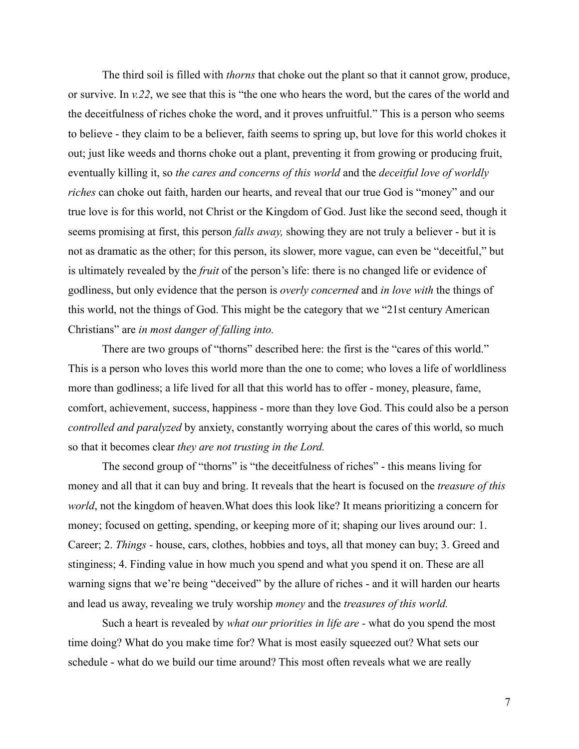The third soil is filled with *thorns* that choke out the plant so that it cannot grow, produce, or survive. In *v.22*, we see that this is "the one who hears the word, but the cares of the world and the deceitfulness of riches choke the word, and it proves unfruitful." This is a person who seems to believe - they claim to be a believer, faith seems to spring up, but love for this world chokes it out; just like weeds and thorns choke out a plant, preventing it from growing or producing fruit, eventually killing it, so *the cares and concerns of this world* and the *deceitful love of worldly riches* can choke out faith, harden our hearts, and reveal that our true God is "money" and our true love is for this world, not Christ or the Kingdom of God. Just like the second seed, though it seems promising at first, this person *falls away,* showing they are not truly a believer - but it is not as dramatic as the other; for this person, its slower, more vague, can even be "deceitful," but is ultimately revealed by the *fruit* of the person's life: there is no changed life or evidence of godliness, but only evidence that the person is *overly concerned* and *in love with* the things of this world, not the things of God. This might be the category that we "21st century American Christians" are *in most danger of falling into.*

There are two groups of "thorns" described here: the first is the "cares of this world." This is a person who loves this world more than the one to come; who loves a life of worldliness more than godliness; a life lived for all that this world has to offer - money, pleasure, fame, comfort, achievement, success, happiness - more than they love God. This could also be a person *controlled and paralyzed* by anxiety, constantly worrying about the cares of this world, so much so that it becomes clear *they are not trusting in the Lord.*

The second group of "thorns" is "the deceitfulness of riches" - this means living for money and all that it can buy and bring. It reveals that the heart is focused on the *treasure of this world*, not the kingdom of heaven.What does this look like? It means prioritizing a concern for money; focused on getting, spending, or keeping more of it; shaping our lives around our: 1. Career; 2. *Things -* house, cars, clothes, hobbies and toys, all that money can buy; 3. Greed and stinginess; 4. Finding value in how much you spend and what you spend it on. These are all warning signs that we're being "deceived" by the allure of riches - and it will harden our hearts and lead us away, revealing we truly worship *money* and the *treasures of this world.*

Such a heart is revealed by *what our priorities in life are -* what do you spend the most time doing? What do you make time for? What is most easily squeezed out? What sets our schedule - what do we build our time around? This most often reveals what we are really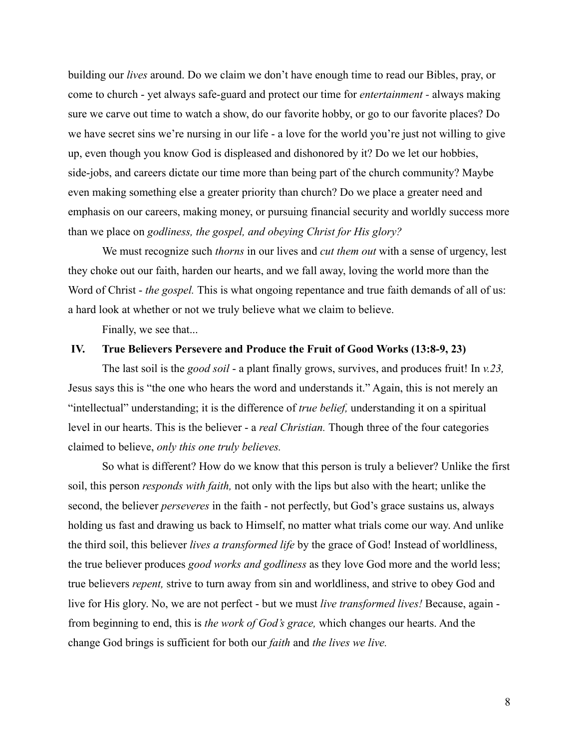building our *lives* around. Do we claim we don't have enough time to read our Bibles, pray, or come to church - yet always safe-guard and protect our time for *entertainment -* always making sure we carve out time to watch a show, do our favorite hobby, or go to our favorite places? Do we have secret sins we're nursing in our life - a love for the world you're just not willing to give up, even though you know God is displeased and dishonored by it? Do we let our hobbies, side-jobs, and careers dictate our time more than being part of the church community? Maybe even making something else a greater priority than church? Do we place a greater need and emphasis on our careers, making money, or pursuing financial security and worldly success more than we place on *godliness, the gospel, and obeying Christ for His glory?*

We must recognize such *thorns* in our lives and *cut them out* with a sense of urgency, lest they choke out our faith, harden our hearts, and we fall away, loving the world more than the Word of Christ - *the gospel*. This is what ongoing repentance and true faith demands of all of us: a hard look at whether or not we truly believe what we claim to believe.

Finally, we see that...

## **IV. True Believers Persevere and Produce the Fruit of Good Works (13:8-9, 23)**

The last soil is the *good soil* - a plant finally grows, survives, and produces fruit! In *v.23,* Jesus says this is "the one who hears the word and understands it." Again, this is not merely an "intellectual" understanding; it is the difference of *true belief,* understanding it on a spiritual level in our hearts. This is the believer - a *real Christian.* Though three of the four categories claimed to believe, *only this one truly believes.*

So what is different? How do we know that this person is truly a believer? Unlike the first soil, this person *responds with faith,* not only with the lips but also with the heart; unlike the second, the believer *perseveres* in the faith - not perfectly, but God's grace sustains us, always holding us fast and drawing us back to Himself, no matter what trials come our way. And unlike the third soil, this believer *lives a transformed life* by the grace of God! Instead of worldliness, the true believer produces *good works and godliness* as they love God more and the world less; true believers *repent,* strive to turn away from sin and worldliness, and strive to obey God and live for His glory. No, we are not perfect - but we must *live transformed lives!* Because, again from beginning to end, this is *the work of God's grace,* which changes our hearts. And the change God brings is sufficient for both our *faith* and *the lives we live.*